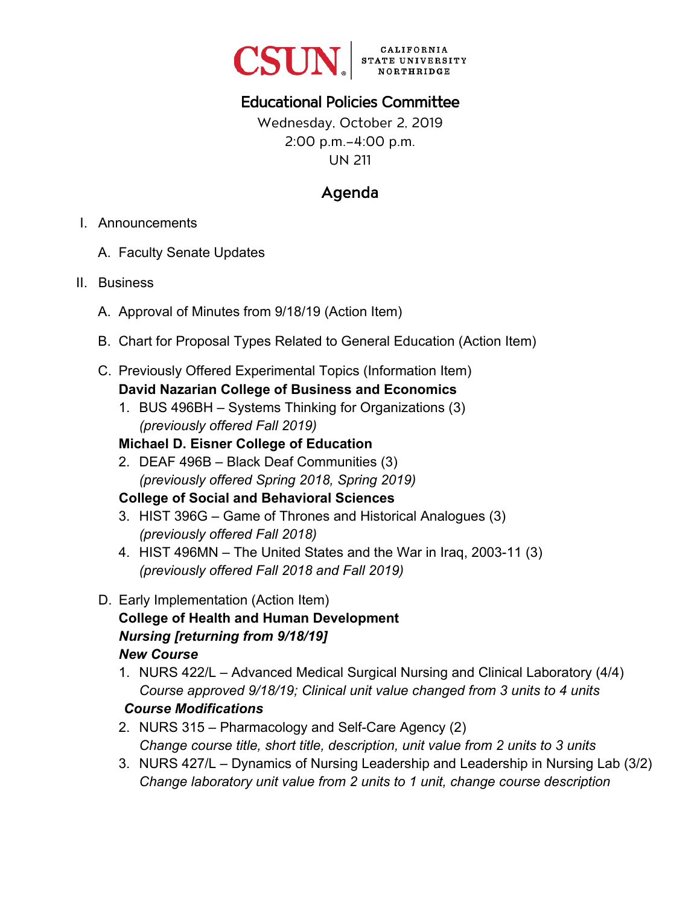

# Educational Policies Committee

Wednesday, October 2, 2019 2:00 p.m.–4:00 p.m. UN 211

# Agenda

- I. Announcements
	- A. Faculty Senate Updates
- II. Business
	- A. Approval of Minutes from 9/18/19 (Action Item)
	- B. Chart for Proposal Types Related to General Education (Action Item)
	- C. Previously Offered Experimental Topics (Information Item) **David Nazarian College of Business and Economics** 
		- 1. BUS 496BH Systems Thinking for Organizations (3) *(previously offered Fall 2019)*

#### **Michael D. Eisner College of Education**

2. DEAF 496B – Black Deaf Communities (3) *(previously offered Spring 2018, Spring 2019)* 

#### **College of Social and Behavioral Sciences**

- 3. HIST 396G Game of Thrones and Historical Analogues (3) *(previously offered Fall 2018)*
- 4. HIST 496MN The United States and the War in Iraq, 2003-11 (3) *(previously offered Fall 2018 and Fall 2019)*
- D. Early Implementation (Action Item) **College of Health and Human Development**  *Nursing [returning from 9/18/19] New Course*
	- 1. NURS 422/L Advanced Medical Surgical Nursing and Clinical Laboratory (4/4) *Course approved 9/18/19; Clinical unit value changed from 3 units to 4 units Course Modifications*
	- 2. NURS 315 Pharmacology and Self-Care Agency (2) *Change course title, short title, description, unit value from 2 units to 3 units*
	- 3. NURS 427/L Dynamics of Nursing Leadership and Leadership in Nursing Lab (3/2) *Change laboratory unit value from 2 units to 1 unit, change course description*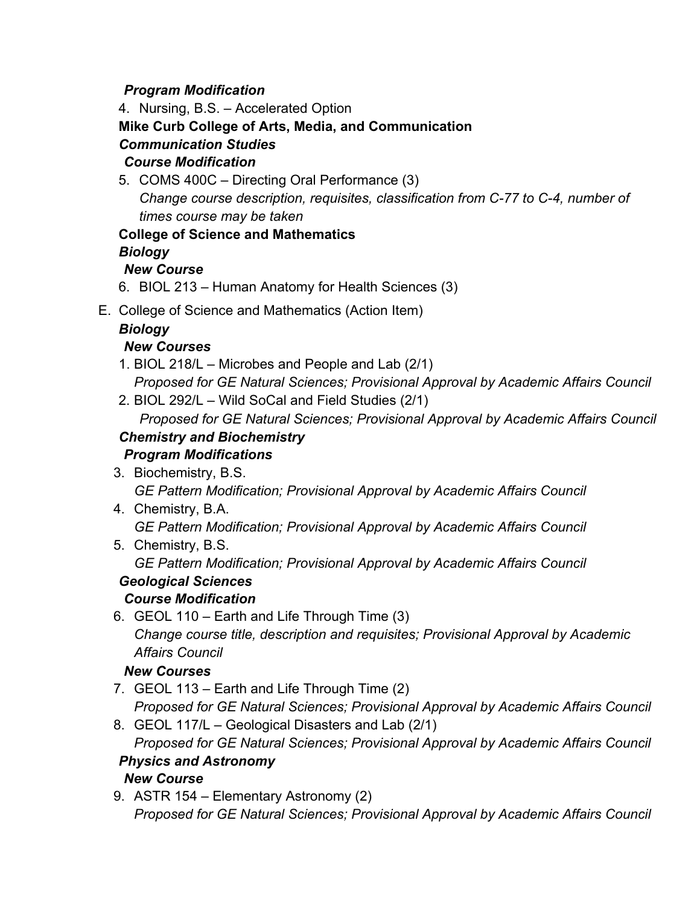## *Program Modification*

4. Nursing, B.S. – Accelerated Option

**Mike Curb College of Arts, Media, and Communication** 

## *Communication Studies*

## *Course Modification*

5. COMS 400C – Directing Oral Performance (3) *Change course description, requisites, classification from C-77 to C-4, number of times course may be taken*

#### **College of Science and Mathematics**  *Biology*

## *New Course*

- 6. BIOL 213 Human Anatomy for Health Sciences (3)
- E. College of Science and Mathematics (Action Item)

## *Biology*

## *New Courses*

- 1. BIOL 218/L Microbes and People and Lab (2/1) *Proposed for GE Natural Sciences; Provisional Approval by Academic Affairs Council*
- 2. BIOL 292/L Wild SoCal and Field Studies (2/1) *Proposed for GE Natural Sciences; Provisional Approval by Academic Affairs Council*

#### *Chemistry and Biochemistry Program Modifications*

- 3. Biochemistry, B.S. *GE Pattern Modification; Provisional Approval by Academic Affairs Council*
- 4. Chemistry, B.A. *GE Pattern Modification; Provisional Approval by Academic Affairs Council*
- 5. Chemistry, B.S. *GE Pattern Modification; Provisional Approval by Academic Affairs Council Geological Sciences*

# *Course Modification*

6. GEOL 110 – Earth and Life Through Time (3) *Change course title, description and requisites; Provisional Approval by Academic Affairs Council* 

## *New Courses*

- 7. GEOL 113 Earth and Life Through Time (2) *Proposed for GE Natural Sciences; Provisional Approval by Academic Affairs Council*
- 8. GEOL 117/L Geological Disasters and Lab (2/1) *Proposed for GE Natural Sciences; Provisional Approval by Academic Affairs Council*

## *Physics and Astronomy*

## *New Course*

9. ASTR 154 – Elementary Astronomy (2) *Proposed for GE Natural Sciences; Provisional Approval by Academic Affairs Council*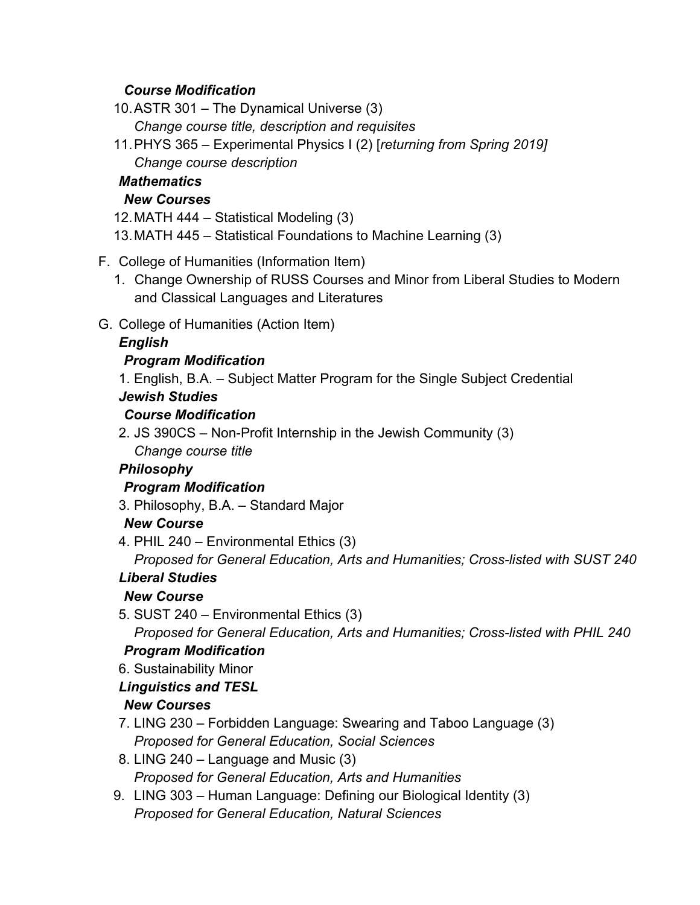#### *Course Modification*

- 10. ASTR 301 The Dynamical Universe (3) *Change course title, description and requisites*
- 11. PHYS 365 Experimental Physics I (2) [*returning from Spring 2019] Change course description*

#### *Mathematics*

#### *New Courses*

- 12. MATH 444 Statistical Modeling (3)
- 13. MATH 445 Statistical Foundations to Machine Learning (3)
- F. College of Humanities (Information Item)
	- 1. Change Ownership of RUSS Courses and Minor from Liberal Studies to Modern and Classical Languages and Literatures
- G. College of Humanities (Action Item)

## *English*

## *Program Modification*

1. English, B.A. – Subject Matter Program for the Single Subject Credential

#### *Jewish Studies*

#### *Course Modification*

2. JS 390CS – Non-Profit Internship in the Jewish Community (3)

*Change course title*

## *Philosophy*

## *Program Modification*

3. Philosophy, B.A. – Standard Major

## *New Course*

4. PHIL 240 – Environmental Ethics (3)

*Proposed for General Education, Arts and Humanities; Cross-listed with SUST 240* 

## *Liberal Studies*

## *New Course*

5. SUST 240 – Environmental Ethics (3)

*Proposed for General Education, Arts and Humanities; Cross-listed with PHIL 240*

## *Program Modification*

6. Sustainability Minor

## *Linguistics and TESL*

## *New Courses*

- 7. LING 230 Forbidden Language: Swearing and Taboo Language (3) *Proposed for General Education, Social Sciences*
- 8. LING 240 Language and Music (3) *Proposed for General Education, Arts and Humanities*
- 9. LING 303 Human Language: Defining our Biological Identity (3) *Proposed for General Education, Natural Sciences*